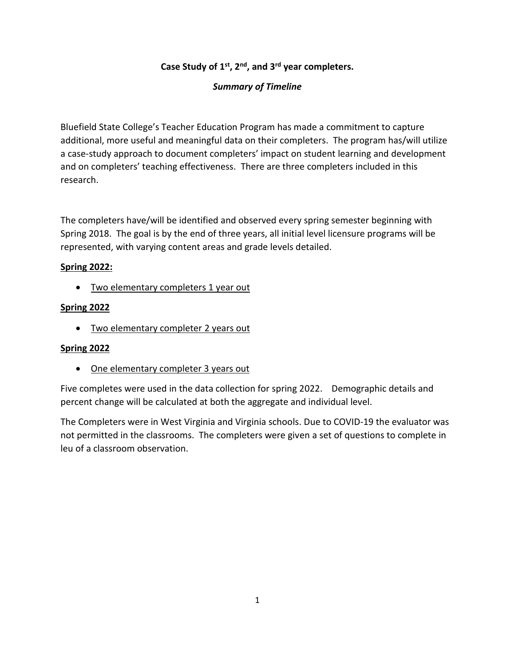## **Case Study of 1st, 2nd, and 3rd year completers.**

## *Summary of Timeline*

Bluefield State College's Teacher Education Program has made a commitment to capture additional, more useful and meaningful data on their completers. The program has/will utilize a case-study approach to document completers' impact on student learning and development and on completers' teaching effectiveness. There are three completers included in this research.

The completers have/will be identified and observed every spring semester beginning with Spring 2018. The goal is by the end of three years, all initial level licensure programs will be represented, with varying content areas and grade levels detailed.

## **Spring 2022:**

• Two elementary completers 1 year out

## **Spring 2022**

• Two elementary completer 2 years out

## **Spring 2022**

• One elementary completer 3 years out

Five completes were used in the data collection for spring 2022. Demographic details and percent change will be calculated at both the aggregate and individual level.

The Completers were in West Virginia and Virginia schools. Due to COVID-19 the evaluator was not permitted in the classrooms. The completers were given a set of questions to complete in leu of a classroom observation.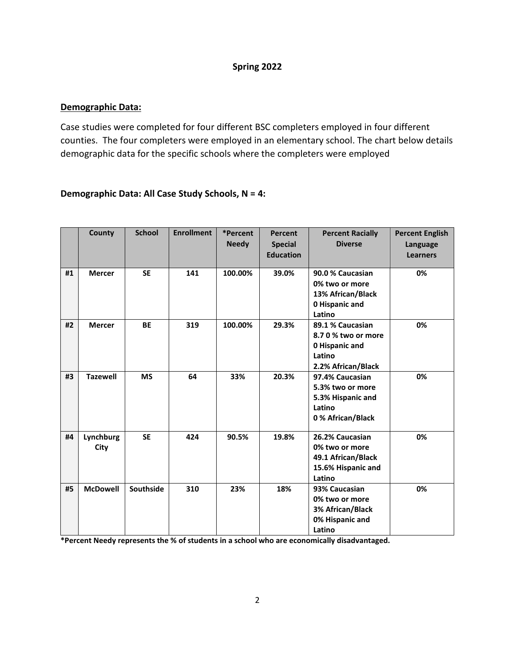### **Spring 2022**

### **Demographic Data:**

Case studies were completed for four different BSC completers employed in four different counties. The four completers were employed in an elementary school. The chart below details demographic data for the specific schools where the completers were employed

## **Demographic Data: All Case Study Schools, N = 4:**

|    | County            | <b>School</b> | <b>Enrollment</b> | *Percent<br><b>Needy</b> | <b>Percent</b><br><b>Special</b><br><b>Education</b> | <b>Percent Racially</b><br><b>Diverse</b>                                                 | <b>Percent English</b><br>Language<br><b>Learners</b> |
|----|-------------------|---------------|-------------------|--------------------------|------------------------------------------------------|-------------------------------------------------------------------------------------------|-------------------------------------------------------|
| #1 | <b>Mercer</b>     | <b>SE</b>     | 141               | 100.00%                  | 39.0%                                                | 90.0 % Caucasian<br>0% two or more<br>13% African/Black<br>0 Hispanic and<br>Latino       | 0%                                                    |
| #2 | <b>Mercer</b>     | <b>BE</b>     | 319               | 100.00%                  | 29.3%                                                | 89.1 % Caucasian<br>8.7 0 % two or more<br>0 Hispanic and<br>Latino<br>2.2% African/Black | 0%                                                    |
| #3 | <b>Tazewell</b>   | <b>MS</b>     | 64                | 33%                      | 20.3%                                                | 97.4% Caucasian<br>5.3% two or more<br>5.3% Hispanic and<br>Latino<br>0% African/Black    | 0%                                                    |
| #4 | Lynchburg<br>City | <b>SE</b>     | 424               | 90.5%                    | 19.8%                                                | 26.2% Caucasian<br>0% two or more<br>49.1 African/Black<br>15.6% Hispanic and<br>Latino   | 0%                                                    |
| #5 | <b>McDowell</b>   | Southside     | 310               | 23%                      | 18%                                                  | 93% Caucasian<br>0% two or more<br>3% African/Black<br>0% Hispanic and<br>Latino          | 0%                                                    |

**\*Percent Needy represents the % of students in a school who are economically disadvantaged.**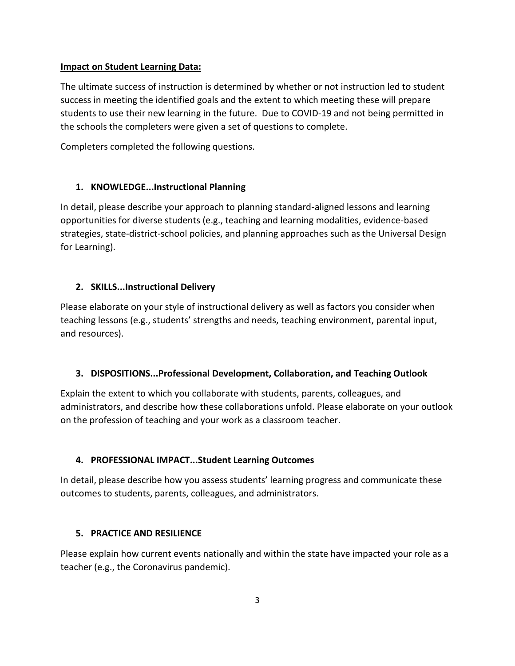## **Impact on Student Learning Data:**

The ultimate success of instruction is determined by whether or not instruction led to student success in meeting the identified goals and the extent to which meeting these will prepare students to use their new learning in the future. Due to COVID-19 and not being permitted in the schools the completers were given a set of questions to complete.

Completers completed the following questions.

## **1. KNOWLEDGE...Instructional Planning**

In detail, please describe your approach to planning standard-aligned lessons and learning opportunities for diverse students (e.g., teaching and learning modalities, evidence-based strategies, state-district-school policies, and planning approaches such as the Universal Design for Learning).

## **2. SKILLS...Instructional Delivery**

Please elaborate on your style of instructional delivery as well as factors you consider when teaching lessons (e.g., students' strengths and needs, teaching environment, parental input, and resources).

## **3. DISPOSITIONS...Professional Development, Collaboration, and Teaching Outlook**

Explain the extent to which you collaborate with students, parents, colleagues, and administrators, and describe how these collaborations unfold. Please elaborate on your outlook on the profession of teaching and your work as a classroom teacher.

## **4. PROFESSIONAL IMPACT...Student Learning Outcomes**

In detail, please describe how you assess students' learning progress and communicate these outcomes to students, parents, colleagues, and administrators.

## **5. PRACTICE AND RESILIENCE**

Please explain how current events nationally and within the state have impacted your role as a teacher (e.g., the Coronavirus pandemic).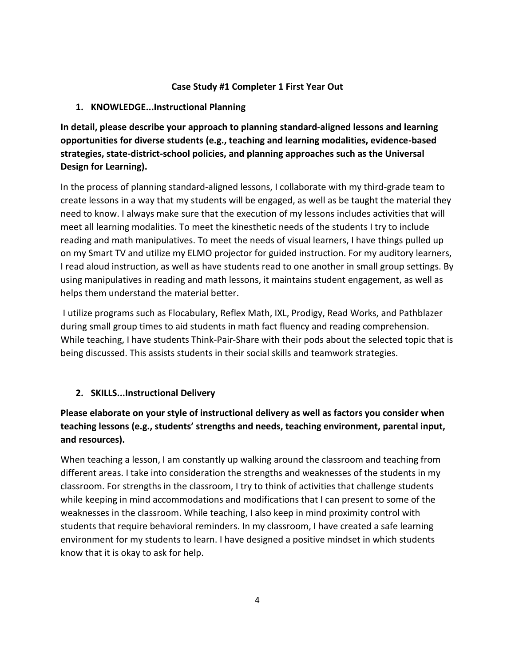### **Case Study #1 Completer 1 First Year Out**

### **1. KNOWLEDGE...Instructional Planning**

**In detail, please describe your approach to planning standard-aligned lessons and learning opportunities for diverse students (e.g., teaching and learning modalities, evidence-based strategies, state-district-school policies, and planning approaches such as the Universal Design for Learning).**

In the process of planning standard-aligned lessons, I collaborate with my third-grade team to create lessons in a way that my students will be engaged, as well as be taught the material they need to know. I always make sure that the execution of my lessons includes activities that will meet all learning modalities. To meet the kinesthetic needs of the students I try to include reading and math manipulatives. To meet the needs of visual learners, I have things pulled up on my Smart TV and utilize my ELMO projector for guided instruction. For my auditory learners, I read aloud instruction, as well as have students read to one another in small group settings. By using manipulatives in reading and math lessons, it maintains student engagement, as well as helps them understand the material better.

I utilize programs such as Flocabulary, Reflex Math, IXL, Prodigy, Read Works, and Pathblazer during small group times to aid students in math fact fluency and reading comprehension. While teaching, I have students Think-Pair-Share with their pods about the selected topic that is being discussed. This assists students in their social skills and teamwork strategies.

## **2. SKILLS...Instructional Delivery**

# **Please elaborate on your style of instructional delivery as well as factors you consider when teaching lessons (e.g., students' strengths and needs, teaching environment, parental input, and resources).**

When teaching a lesson, I am constantly up walking around the classroom and teaching from different areas. I take into consideration the strengths and weaknesses of the students in my classroom. For strengths in the classroom, I try to think of activities that challenge students while keeping in mind accommodations and modifications that I can present to some of the weaknesses in the classroom. While teaching, I also keep in mind proximity control with students that require behavioral reminders. In my classroom, I have created a safe learning environment for my students to learn. I have designed a positive mindset in which students know that it is okay to ask for help.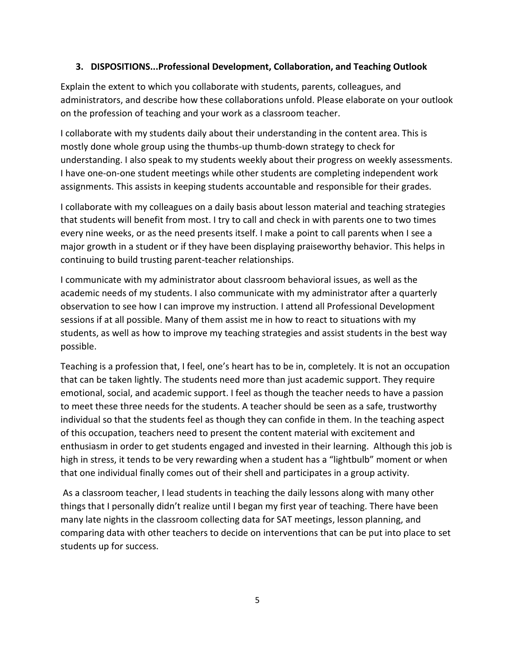### **3. DISPOSITIONS...Professional Development, Collaboration, and Teaching Outlook**

Explain the extent to which you collaborate with students, parents, colleagues, and administrators, and describe how these collaborations unfold. Please elaborate on your outlook on the profession of teaching and your work as a classroom teacher.

I collaborate with my students daily about their understanding in the content area. This is mostly done whole group using the thumbs-up thumb-down strategy to check for understanding. I also speak to my students weekly about their progress on weekly assessments. I have one-on-one student meetings while other students are completing independent work assignments. This assists in keeping students accountable and responsible for their grades.

I collaborate with my colleagues on a daily basis about lesson material and teaching strategies that students will benefit from most. I try to call and check in with parents one to two times every nine weeks, or as the need presents itself. I make a point to call parents when I see a major growth in a student or if they have been displaying praiseworthy behavior. This helps in continuing to build trusting parent-teacher relationships.

I communicate with my administrator about classroom behavioral issues, as well as the academic needs of my students. I also communicate with my administrator after a quarterly observation to see how I can improve my instruction. I attend all Professional Development sessions if at all possible. Many of them assist me in how to react to situations with my students, as well as how to improve my teaching strategies and assist students in the best way possible.

Teaching is a profession that, I feel, one's heart has to be in, completely. It is not an occupation that can be taken lightly. The students need more than just academic support. They require emotional, social, and academic support. I feel as though the teacher needs to have a passion to meet these three needs for the students. A teacher should be seen as a safe, trustworthy individual so that the students feel as though they can confide in them. In the teaching aspect of this occupation, teachers need to present the content material with excitement and enthusiasm in order to get students engaged and invested in their learning. Although this job is high in stress, it tends to be very rewarding when a student has a "lightbulb" moment or when that one individual finally comes out of their shell and participates in a group activity.

As a classroom teacher, I lead students in teaching the daily lessons along with many other things that I personally didn't realize until I began my first year of teaching. There have been many late nights in the classroom collecting data for SAT meetings, lesson planning, and comparing data with other teachers to decide on interventions that can be put into place to set students up for success.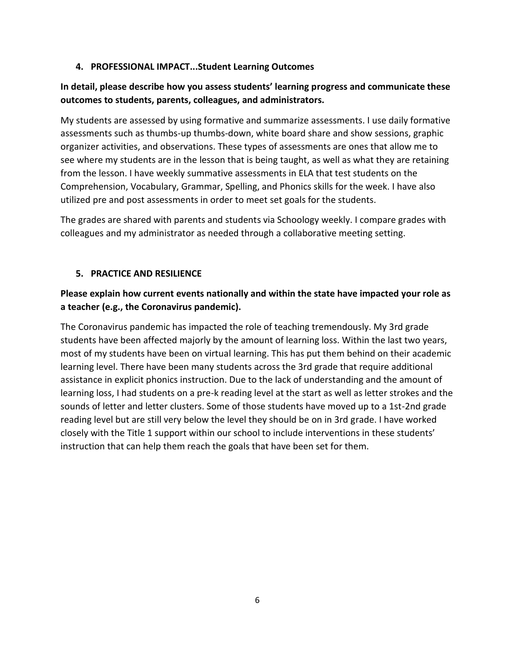## **4. PROFESSIONAL IMPACT...Student Learning Outcomes**

# **In detail, please describe how you assess students' learning progress and communicate these outcomes to students, parents, colleagues, and administrators.**

My students are assessed by using formative and summarize assessments. I use daily formative assessments such as thumbs-up thumbs-down, white board share and show sessions, graphic organizer activities, and observations. These types of assessments are ones that allow me to see where my students are in the lesson that is being taught, as well as what they are retaining from the lesson. I have weekly summative assessments in ELA that test students on the Comprehension, Vocabulary, Grammar, Spelling, and Phonics skills for the week. I have also utilized pre and post assessments in order to meet set goals for the students.

The grades are shared with parents and students via Schoology weekly. I compare grades with colleagues and my administrator as needed through a collaborative meeting setting.

## **5. PRACTICE AND RESILIENCE**

# **Please explain how current events nationally and within the state have impacted your role as a teacher (e.g., the Coronavirus pandemic).**

The Coronavirus pandemic has impacted the role of teaching tremendously. My 3rd grade students have been affected majorly by the amount of learning loss. Within the last two years, most of my students have been on virtual learning. This has put them behind on their academic learning level. There have been many students across the 3rd grade that require additional assistance in explicit phonics instruction. Due to the lack of understanding and the amount of learning loss, I had students on a pre-k reading level at the start as well as letter strokes and the sounds of letter and letter clusters. Some of those students have moved up to a 1st-2nd grade reading level but are still very below the level they should be on in 3rd grade. I have worked closely with the Title 1 support within our school to include interventions in these students' instruction that can help them reach the goals that have been set for them.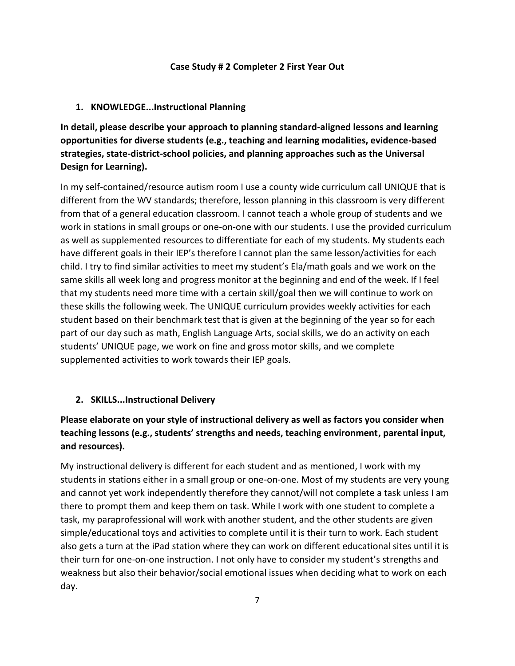#### **Case Study # 2 Completer 2 First Year Out**

### **1. KNOWLEDGE...Instructional Planning**

**In detail, please describe your approach to planning standard-aligned lessons and learning opportunities for diverse students (e.g., teaching and learning modalities, evidence-based strategies, state-district-school policies, and planning approaches such as the Universal Design for Learning).**

In my self-contained/resource autism room I use a county wide curriculum call UNIQUE that is different from the WV standards; therefore, lesson planning in this classroom is very different from that of a general education classroom. I cannot teach a whole group of students and we work in stations in small groups or one-on-one with our students. I use the provided curriculum as well as supplemented resources to differentiate for each of my students. My students each have different goals in their IEP's therefore I cannot plan the same lesson/activities for each child. I try to find similar activities to meet my student's Ela/math goals and we work on the same skills all week long and progress monitor at the beginning and end of the week. If I feel that my students need more time with a certain skill/goal then we will continue to work on these skills the following week. The UNIQUE curriculum provides weekly activities for each student based on their benchmark test that is given at the beginning of the year so for each part of our day such as math, English Language Arts, social skills, we do an activity on each students' UNIQUE page, we work on fine and gross motor skills, and we complete supplemented activities to work towards their IEP goals.

### **2. SKILLS...Instructional Delivery**

# **Please elaborate on your style of instructional delivery as well as factors you consider when teaching lessons (e.g., students' strengths and needs, teaching environment, parental input, and resources).**

My instructional delivery is different for each student and as mentioned, I work with my students in stations either in a small group or one-on-one. Most of my students are very young and cannot yet work independently therefore they cannot/will not complete a task unless I am there to prompt them and keep them on task. While I work with one student to complete a task, my paraprofessional will work with another student, and the other students are given simple/educational toys and activities to complete until it is their turn to work. Each student also gets a turn at the iPad station where they can work on different educational sites until it is their turn for one-on-one instruction. I not only have to consider my student's strengths and weakness but also their behavior/social emotional issues when deciding what to work on each day.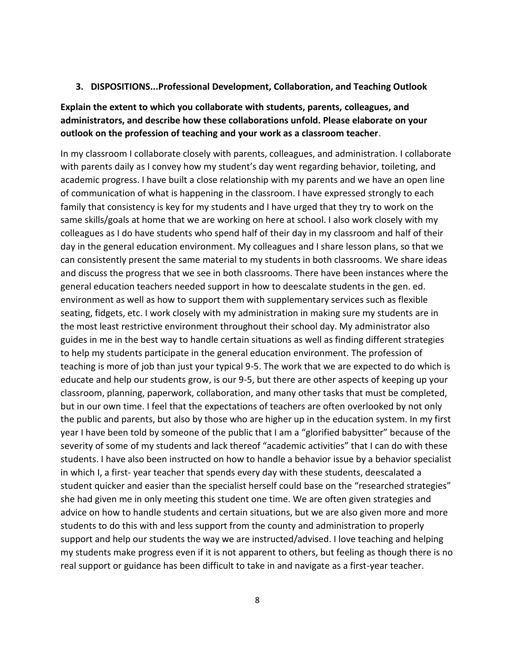#### **3. DISPOSITIONS...Professional Development, Collaboration, and Teaching Outlook**

# **Explain the extent to which you collaborate with students, parents, colleagues, and administrators, and describe how these collaborations unfold. Please elaborate on your outlook on the profession of teaching and your work as a classroom teacher**.

In my classroom I collaborate closely with parents, colleagues, and administration. I collaborate with parents daily as I convey how my student's day went regarding behavior, toileting, and academic progress. I have built a close relationship with my parents and we have an open line of communication of what is happening in the classroom. I have expressed strongly to each family that consistency is key for my students and I have urged that they try to work on the same skills/goals at home that we are working on here at school. I also work closely with my colleagues as I do have students who spend half of their day in my classroom and half of their day in the general education environment. My colleagues and I share lesson plans, so that we can consistently present the same material to my students in both classrooms. We share ideas and discuss the progress that we see in both classrooms. There have been instances where the general education teachers needed support in how to deescalate students in the gen. ed. environment as well as how to support them with supplementary services such as flexible seating, fidgets, etc. I work closely with my administration in making sure my students are in the most least restrictive environment throughout their school day. My administrator also guides in me in the best way to handle certain situations as well as finding different strategies to help my students participate in the general education environment. The profession of teaching is more of job than just your typical 9-5. The work that we are expected to do which is educate and help our students grow, is our 9-5, but there are other aspects of keeping up your classroom, planning, paperwork, collaboration, and many other tasks that must be completed, but in our own time. I feel that the expectations of teachers are often overlooked by not only the public and parents, but also by those who are higher up in the education system. In my first year I have been told by someone of the public that I am a "glorified babysitter" because of the severity of some of my students and lack thereof "academic activities" that I can do with these students. I have also been instructed on how to handle a behavior issue by a behavior specialist in which I, a first- year teacher that spends every day with these students, deescalated a student quicker and easier than the specialist herself could base on the "researched strategies" she had given me in only meeting this student one time. We are often given strategies and advice on how to handle students and certain situations, but we are also given more and more students to do this with and less support from the county and administration to properly support and help our students the way we are instructed/advised. I love teaching and helping my students make progress even if it is not apparent to others, but feeling as though there is no real support or guidance has been difficult to take in and navigate as a first-year teacher.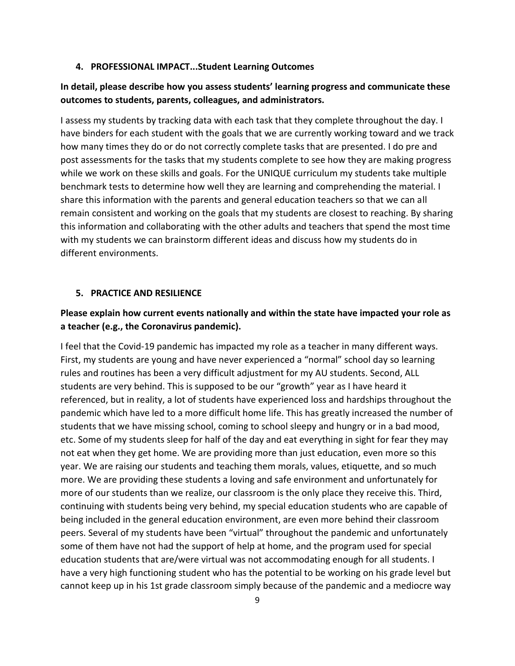#### **4. PROFESSIONAL IMPACT...Student Learning Outcomes**

## **In detail, please describe how you assess students' learning progress and communicate these outcomes to students, parents, colleagues, and administrators.**

I assess my students by tracking data with each task that they complete throughout the day. I have binders for each student with the goals that we are currently working toward and we track how many times they do or do not correctly complete tasks that are presented. I do pre and post assessments for the tasks that my students complete to see how they are making progress while we work on these skills and goals. For the UNIQUE curriculum my students take multiple benchmark tests to determine how well they are learning and comprehending the material. I share this information with the parents and general education teachers so that we can all remain consistent and working on the goals that my students are closest to reaching. By sharing this information and collaborating with the other adults and teachers that spend the most time with my students we can brainstorm different ideas and discuss how my students do in different environments.

#### **5. PRACTICE AND RESILIENCE**

## **Please explain how current events nationally and within the state have impacted your role as a teacher (e.g., the Coronavirus pandemic).**

I feel that the Covid-19 pandemic has impacted my role as a teacher in many different ways. First, my students are young and have never experienced a "normal" school day so learning rules and routines has been a very difficult adjustment for my AU students. Second, ALL students are very behind. This is supposed to be our "growth" year as I have heard it referenced, but in reality, a lot of students have experienced loss and hardships throughout the pandemic which have led to a more difficult home life. This has greatly increased the number of students that we have missing school, coming to school sleepy and hungry or in a bad mood, etc. Some of my students sleep for half of the day and eat everything in sight for fear they may not eat when they get home. We are providing more than just education, even more so this year. We are raising our students and teaching them morals, values, etiquette, and so much more. We are providing these students a loving and safe environment and unfortunately for more of our students than we realize, our classroom is the only place they receive this. Third, continuing with students being very behind, my special education students who are capable of being included in the general education environment, are even more behind their classroom peers. Several of my students have been "virtual" throughout the pandemic and unfortunately some of them have not had the support of help at home, and the program used for special education students that are/were virtual was not accommodating enough for all students. I have a very high functioning student who has the potential to be working on his grade level but cannot keep up in his 1st grade classroom simply because of the pandemic and a mediocre way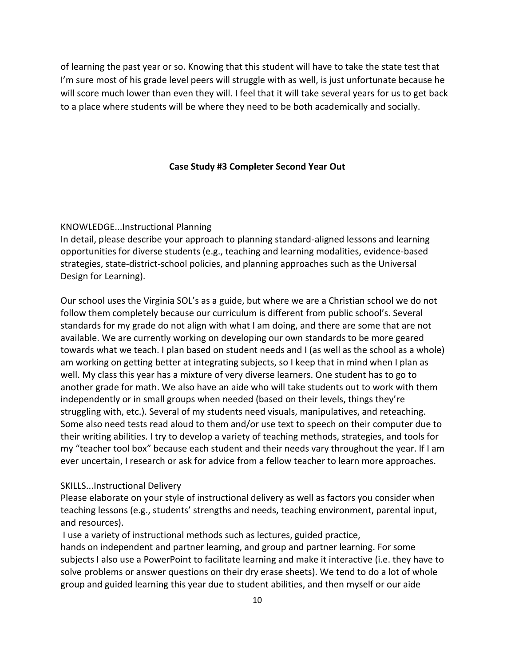of learning the past year or so. Knowing that this student will have to take the state test that I'm sure most of his grade level peers will struggle with as well, is just unfortunate because he will score much lower than even they will. I feel that it will take several years for us to get back to a place where students will be where they need to be both academically and socially.

### **Case Study #3 Completer Second Year Out**

#### KNOWLEDGE...Instructional Planning

In detail, please describe your approach to planning standard-aligned lessons and learning opportunities for diverse students (e.g., teaching and learning modalities, evidence-based strategies, state-district-school policies, and planning approaches such as the Universal Design for Learning).

Our school uses the Virginia SOL's as a guide, but where we are a Christian school we do not follow them completely because our curriculum is different from public school's. Several standards for my grade do not align with what I am doing, and there are some that are not available. We are currently working on developing our own standards to be more geared towards what we teach. I plan based on student needs and I (as well as the school as a whole) am working on getting better at integrating subjects, so I keep that in mind when I plan as well. My class this year has a mixture of very diverse learners. One student has to go to another grade for math. We also have an aide who will take students out to work with them independently or in small groups when needed (based on their levels, things they're struggling with, etc.). Several of my students need visuals, manipulatives, and reteaching. Some also need tests read aloud to them and/or use text to speech on their computer due to their writing abilities. I try to develop a variety of teaching methods, strategies, and tools for my "teacher tool box" because each student and their needs vary throughout the year. If I am ever uncertain, I research or ask for advice from a fellow teacher to learn more approaches.

#### SKILLS...Instructional Delivery

Please elaborate on your style of instructional delivery as well as factors you consider when teaching lessons (e.g., students' strengths and needs, teaching environment, parental input, and resources).

I use a variety of instructional methods such as lectures, guided practice,

hands on independent and partner learning, and group and partner learning. For some subjects I also use a PowerPoint to facilitate learning and make it interactive (i.e. they have to solve problems or answer questions on their dry erase sheets). We tend to do a lot of whole group and guided learning this year due to student abilities, and then myself or our aide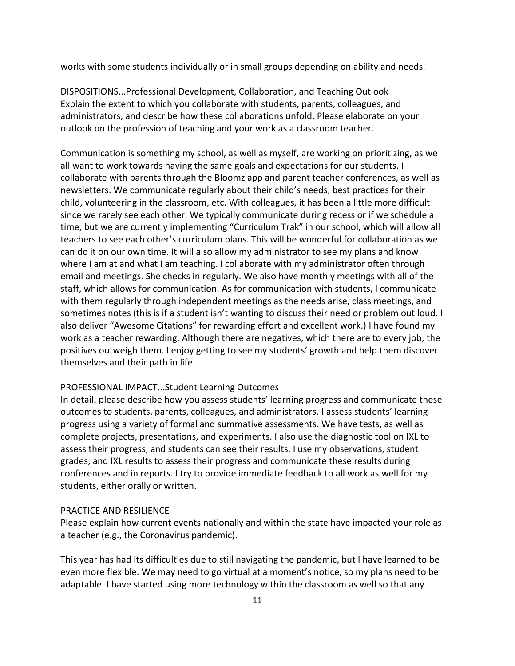works with some students individually or in small groups depending on ability and needs.

DISPOSITIONS...Professional Development, Collaboration, and Teaching Outlook Explain the extent to which you collaborate with students, parents, colleagues, and administrators, and describe how these collaborations unfold. Please elaborate on your outlook on the profession of teaching and your work as a classroom teacher.

Communication is something my school, as well as myself, are working on prioritizing, as we all want to work towards having the same goals and expectations for our students. I collaborate with parents through the Bloomz app and parent teacher conferences, as well as newsletters. We communicate regularly about their child's needs, best practices for their child, volunteering in the classroom, etc. With colleagues, it has been a little more difficult since we rarely see each other. We typically communicate during recess or if we schedule a time, but we are currently implementing "Curriculum Trak" in our school, which will allow all teachers to see each other's curriculum plans. This will be wonderful for collaboration as we can do it on our own time. It will also allow my administrator to see my plans and know where I am at and what I am teaching. I collaborate with my administrator often through email and meetings. She checks in regularly. We also have monthly meetings with all of the staff, which allows for communication. As for communication with students, I communicate with them regularly through independent meetings as the needs arise, class meetings, and sometimes notes (this is if a student isn't wanting to discuss their need or problem out loud. I also deliver "Awesome Citations" for rewarding effort and excellent work.) I have found my work as a teacher rewarding. Although there are negatives, which there are to every job, the positives outweigh them. I enjoy getting to see my students' growth and help them discover themselves and their path in life.

#### PROFESSIONAL IMPACT...Student Learning Outcomes

In detail, please describe how you assess students' learning progress and communicate these outcomes to students, parents, colleagues, and administrators. I assess students' learning progress using a variety of formal and summative assessments. We have tests, as well as complete projects, presentations, and experiments. I also use the diagnostic tool on IXL to assess their progress, and students can see their results. I use my observations, student grades, and IXL results to assess their progress and communicate these results during conferences and in reports. I try to provide immediate feedback to all work as well for my students, either orally or written.

#### PRACTICE AND RESILIENCE

Please explain how current events nationally and within the state have impacted your role as a teacher (e.g., the Coronavirus pandemic).

This year has had its difficulties due to still navigating the pandemic, but I have learned to be even more flexible. We may need to go virtual at a moment's notice, so my plans need to be adaptable. I have started using more technology within the classroom as well so that any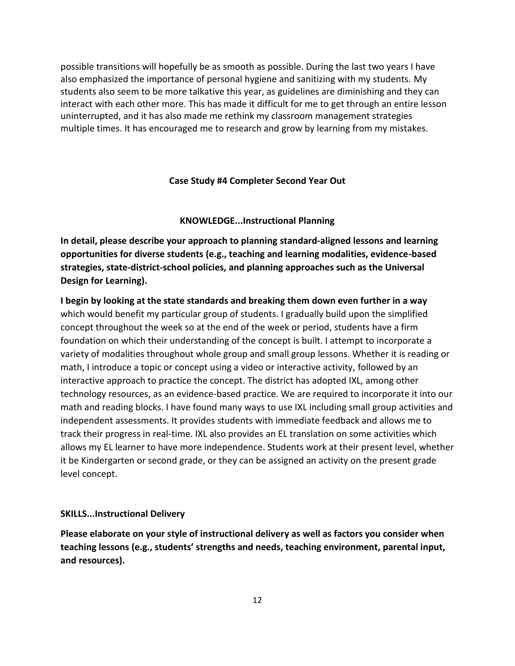possible transitions will hopefully be as smooth as possible. During the last two years I have also emphasized the importance of personal hygiene and sanitizing with my students. My students also seem to be more talkative this year, as guidelines are diminishing and they can interact with each other more. This has made it difficult for me to get through an entire lesson uninterrupted, and it has also made me rethink my classroom management strategies multiple times. It has encouraged me to research and grow by learning from my mistakes.

### **Case Study #4 Completer Second Year Out**

#### **KNOWLEDGE...Instructional Planning**

**In detail, please describe your approach to planning standard-aligned lessons and learning opportunities for diverse students (e.g., teaching and learning modalities, evidence-based strategies, state-district-school policies, and planning approaches such as the Universal Design for Learning).**

**I begin by looking at the state standards and breaking them down even further in a way**  which would benefit my particular group of students. I gradually build upon the simplified concept throughout the week so at the end of the week or period, students have a firm foundation on which their understanding of the concept is built. I attempt to incorporate a variety of modalities throughout whole group and small group lessons. Whether it is reading or math, I introduce a topic or concept using a video or interactive activity, followed by an interactive approach to practice the concept. The district has adopted IXL, among other technology resources, as an evidence-based practice. We are required to incorporate it into our math and reading blocks. I have found many ways to use IXL including small group activities and independent assessments. It provides students with immediate feedback and allows me to track their progress in real-time. IXL also provides an EL translation on some activities which allows my EL learner to have more independence. Students work at their present level, whether it be Kindergarten or second grade, or they can be assigned an activity on the present grade level concept.

#### **SKILLS...Instructional Delivery**

**Please elaborate on your style of instructional delivery as well as factors you consider when teaching lessons (e.g., students' strengths and needs, teaching environment, parental input, and resources).**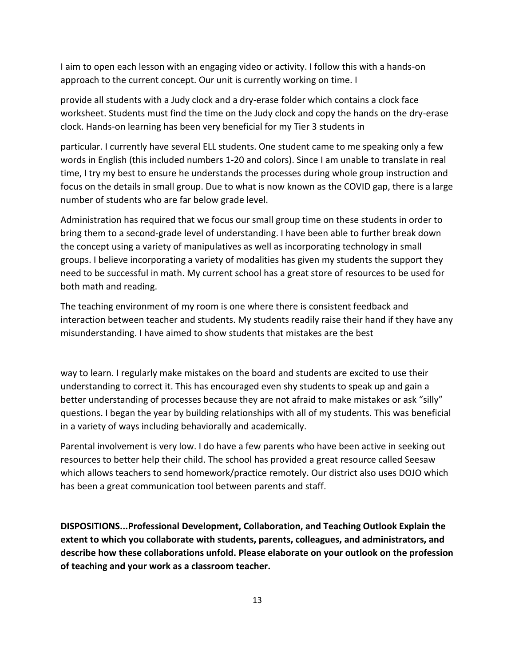I aim to open each lesson with an engaging video or activity. I follow this with a hands-on approach to the current concept. Our unit is currently working on time. I

provide all students with a Judy clock and a dry-erase folder which contains a clock face worksheet. Students must find the time on the Judy clock and copy the hands on the dry-erase clock. Hands-on learning has been very beneficial for my Tier 3 students in

particular. I currently have several ELL students. One student came to me speaking only a few words in English (this included numbers 1-20 and colors). Since I am unable to translate in real time, I try my best to ensure he understands the processes during whole group instruction and focus on the details in small group. Due to what is now known as the COVID gap, there is a large number of students who are far below grade level.

Administration has required that we focus our small group time on these students in order to bring them to a second-grade level of understanding. I have been able to further break down the concept using a variety of manipulatives as well as incorporating technology in small groups. I believe incorporating a variety of modalities has given my students the support they need to be successful in math. My current school has a great store of resources to be used for both math and reading.

The teaching environment of my room is one where there is consistent feedback and interaction between teacher and students. My students readily raise their hand if they have any misunderstanding. I have aimed to show students that mistakes are the best

way to learn. I regularly make mistakes on the board and students are excited to use their understanding to correct it. This has encouraged even shy students to speak up and gain a better understanding of processes because they are not afraid to make mistakes or ask "silly" questions. I began the year by building relationships with all of my students. This was beneficial in a variety of ways including behaviorally and academically.

Parental involvement is very low. I do have a few parents who have been active in seeking out resources to better help their child. The school has provided a great resource called Seesaw which allows teachers to send homework/practice remotely. Our district also uses DOJO which has been a great communication tool between parents and staff.

**DISPOSITIONS...Professional Development, Collaboration, and Teaching Outlook Explain the extent to which you collaborate with students, parents, colleagues, and administrators, and describe how these collaborations unfold. Please elaborate on your outlook on the profession of teaching and your work as a classroom teacher.**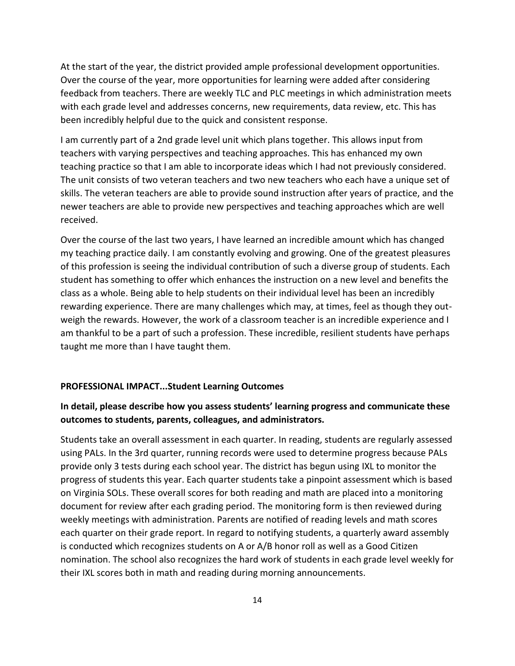At the start of the year, the district provided ample professional development opportunities. Over the course of the year, more opportunities for learning were added after considering feedback from teachers. There are weekly TLC and PLC meetings in which administration meets with each grade level and addresses concerns, new requirements, data review, etc. This has been incredibly helpful due to the quick and consistent response.

I am currently part of a 2nd grade level unit which plans together. This allows input from teachers with varying perspectives and teaching approaches. This has enhanced my own teaching practice so that I am able to incorporate ideas which I had not previously considered. The unit consists of two veteran teachers and two new teachers who each have a unique set of skills. The veteran teachers are able to provide sound instruction after years of practice, and the newer teachers are able to provide new perspectives and teaching approaches which are well received.

Over the course of the last two years, I have learned an incredible amount which has changed my teaching practice daily. I am constantly evolving and growing. One of the greatest pleasures of this profession is seeing the individual contribution of such a diverse group of students. Each student has something to offer which enhances the instruction on a new level and benefits the class as a whole. Being able to help students on their individual level has been an incredibly rewarding experience. There are many challenges which may, at times, feel as though they outweigh the rewards. However, the work of a classroom teacher is an incredible experience and I am thankful to be a part of such a profession. These incredible, resilient students have perhaps taught me more than I have taught them.

#### **PROFESSIONAL IMPACT...Student Learning Outcomes**

## **In detail, please describe how you assess students' learning progress and communicate these outcomes to students, parents, colleagues, and administrators.**

Students take an overall assessment in each quarter. In reading, students are regularly assessed using PALs. In the 3rd quarter, running records were used to determine progress because PALs provide only 3 tests during each school year. The district has begun using IXL to monitor the progress of students this year. Each quarter students take a pinpoint assessment which is based on Virginia SOLs. These overall scores for both reading and math are placed into a monitoring document for review after each grading period. The monitoring form is then reviewed during weekly meetings with administration. Parents are notified of reading levels and math scores each quarter on their grade report. In regard to notifying students, a quarterly award assembly is conducted which recognizes students on A or A/B honor roll as well as a Good Citizen nomination. The school also recognizes the hard work of students in each grade level weekly for their IXL scores both in math and reading during morning announcements.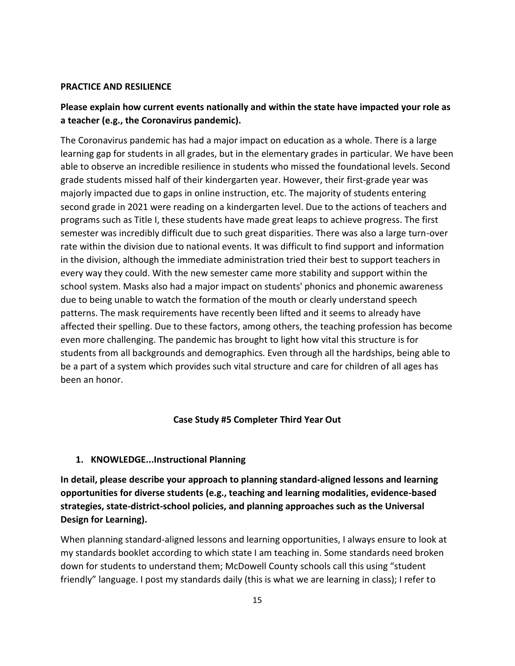#### **PRACTICE AND RESILIENCE**

# **Please explain how current events nationally and within the state have impacted your role as a teacher (e.g., the Coronavirus pandemic).**

The Coronavirus pandemic has had a major impact on education as a whole. There is a large learning gap for students in all grades, but in the elementary grades in particular. We have been able to observe an incredible resilience in students who missed the foundational levels. Second grade students missed half of their kindergarten year. However, their first-grade year was majorly impacted due to gaps in online instruction, etc. The majority of students entering second grade in 2021 were reading on a kindergarten level. Due to the actions of teachers and programs such as Title I, these students have made great leaps to achieve progress. The first semester was incredibly difficult due to such great disparities. There was also a large turn-over rate within the division due to national events. It was difficult to find support and information in the division, although the immediate administration tried their best to support teachers in every way they could. With the new semester came more stability and support within the school system. Masks also had a major impact on students' phonics and phonemic awareness due to being unable to watch the formation of the mouth or clearly understand speech patterns. The mask requirements have recently been lifted and it seems to already have affected their spelling. Due to these factors, among others, the teaching profession has become even more challenging. The pandemic has brought to light how vital this structure is for students from all backgrounds and demographics. Even through all the hardships, being able to be a part of a system which provides such vital structure and care for children of all ages has been an honor.

### **Case Study #5 Completer Third Year Out**

### **1. KNOWLEDGE...Instructional Planning**

**In detail, please describe your approach to planning standard-aligned lessons and learning opportunities for diverse students (e.g., teaching and learning modalities, evidence-based strategies, state-district-school policies, and planning approaches such as the Universal Design for Learning).**

When planning standard-aligned lessons and learning opportunities, I always ensure to look at my standards booklet according to which state I am teaching in. Some standards need broken down for students to understand them; McDowell County schools call this using "student friendly" language. I post my standards daily (this is what we are learning in class); I refer to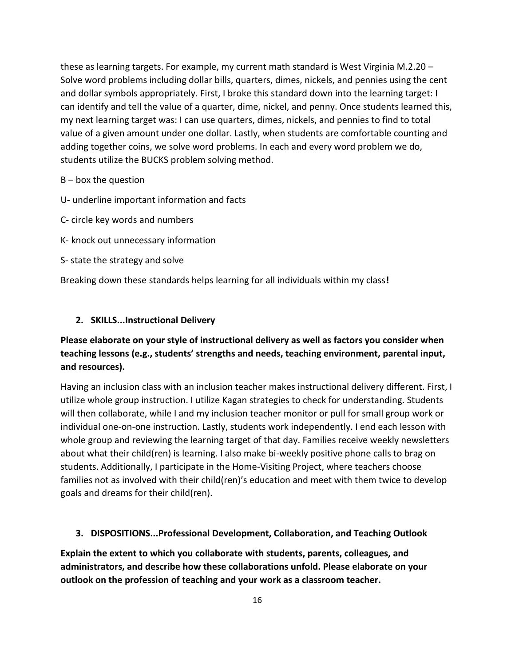these as learning targets. For example, my current math standard is West Virginia M.2.20 – Solve word problems including dollar bills, quarters, dimes, nickels, and pennies using the cent and dollar symbols appropriately. First, I broke this standard down into the learning target: I can identify and tell the value of a quarter, dime, nickel, and penny. Once students learned this, my next learning target was: I can use quarters, dimes, nickels, and pennies to find to total value of a given amount under one dollar. Lastly, when students are comfortable counting and adding together coins, we solve word problems. In each and every word problem we do, students utilize the BUCKS problem solving method.

### $B -$  box the question

- U- underline important information and facts
- C- circle key words and numbers
- K- knock out unnecessary information
- S- state the strategy and solve

Breaking down these standards helps learning for all individuals within my class**!** 

### **2. SKILLS...Instructional Delivery**

# **Please elaborate on your style of instructional delivery as well as factors you consider when teaching lessons (e.g., students' strengths and needs, teaching environment, parental input, and resources).**

Having an inclusion class with an inclusion teacher makes instructional delivery different. First, I utilize whole group instruction. I utilize Kagan strategies to check for understanding. Students will then collaborate, while I and my inclusion teacher monitor or pull for small group work or individual one-on-one instruction. Lastly, students work independently. I end each lesson with whole group and reviewing the learning target of that day. Families receive weekly newsletters about what their child(ren) is learning. I also make bi-weekly positive phone calls to brag on students. Additionally, I participate in the Home-Visiting Project, where teachers choose families not as involved with their child(ren)'s education and meet with them twice to develop goals and dreams for their child(ren).

### **3. DISPOSITIONS...Professional Development, Collaboration, and Teaching Outlook**

**Explain the extent to which you collaborate with students, parents, colleagues, and administrators, and describe how these collaborations unfold. Please elaborate on your outlook on the profession of teaching and your work as a classroom teacher.**